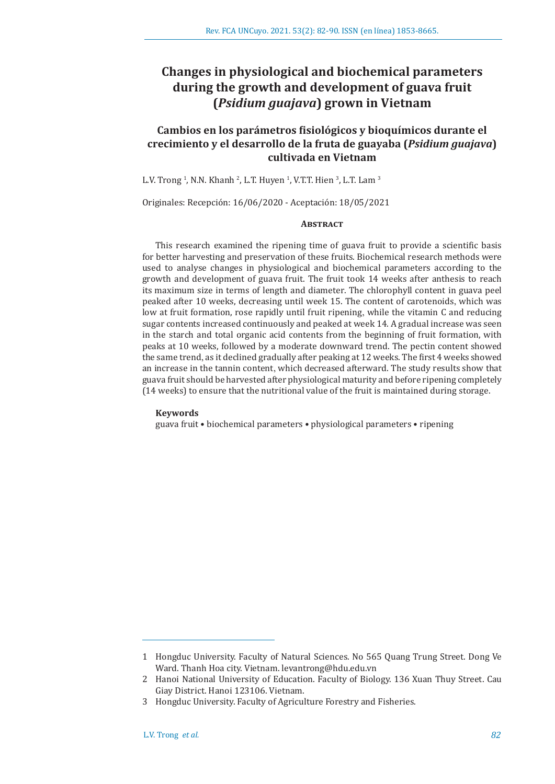# **Changes in physiological and biochemical parameters during the growth and development of guava fruit (***Psidium guajava***) grown in Vietnam**

# **Cambios en los parámetros fisiológicos y bioquímicos durante el crecimiento y el desarrollo de la fruta de guayaba (***Psidium guajava***) cultivada en Vietnam**

L.V. Trong <sup>1</sup>, N.N. Khanh <sup>2</sup>, L.T. Huyen <sup>1</sup>, V.T.T. Hien <sup>3</sup>, L.T. Lam <sup>3</sup>

Originales: Recepción: 16/06/2020 - Aceptación: 18/05/2021

#### **ABSTRACT**

This research examined the ripening time of guava fruit to provide a scientific basis for better harvesting and preservation of these fruits. Biochemical research methods were used to analyse changes in physiological and biochemical parameters according to the growth and development of guava fruit. The fruit took 14 weeks after anthesis to reach its maximum size in terms of length and diameter. The chlorophyll content in guava peel peaked after 10 weeks, decreasing until week 15. The content of carotenoids, which was low at fruit formation, rose rapidly until fruit ripening, while the vitamin C and reducing sugar contents increased continuously and peaked at week 14. A gradual increase was seen in the starch and total organic acid contents from the beginning of fruit formation, with peaks at 10 weeks, followed by a moderate downward trend. The pectin content showed the same trend, as it declined gradually after peaking at 12 weeks. The first 4 weeks showed an increase in the tannin content, which decreased afterward. The study results show that guava fruit should be harvested after physiological maturity and before ripening completely (14 weeks) to ensure that the nutritional value of the fruit is maintained during storage.

#### **Keywords**

guava fruit • biochemical parameters • physiological parameters • ripening

<sup>1</sup> Hongduc University. Faculty of Natural Sciences. No 565 Quang Trung Street. Dong Ve Ward. Thanh Hoa city. Vietnam. levantrong@hdu.edu.vn

<sup>2</sup> Hanoi National University of Education. Faculty of Biology. 136 Xuan Thuy Street. Cau Giay District. Hanoi 123106. Vietnam.

<sup>3</sup> Hongduc University. Faculty of Agriculture Forestry and Fisheries.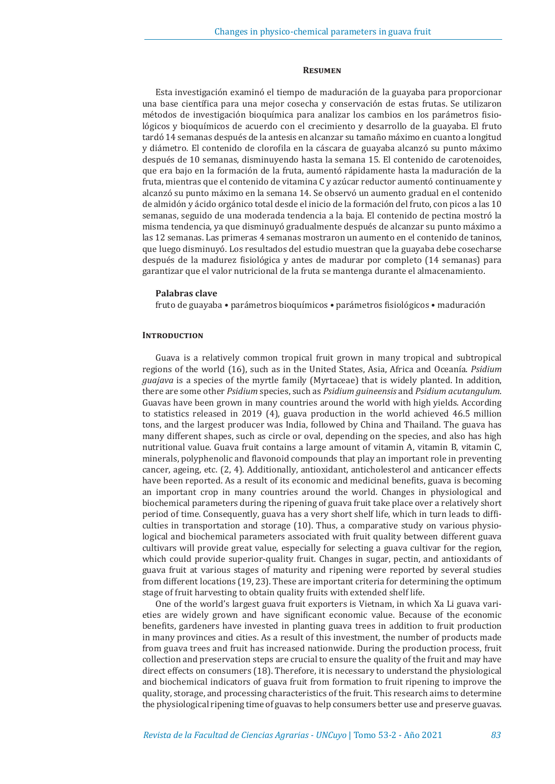#### **Resumen**

Esta investigación examinó el tiempo de maduración de la guayaba para proporcionar una base científica para una mejor cosecha y conservación de estas frutas. Se utilizaron métodos de investigación bioquímica para analizar los cambios en los parámetros fisiológicos y bioquímicos de acuerdo con el crecimiento y desarrollo de la guayaba. El fruto tardó 14 semanas después de la antesis en alcanzar su tamaño máximo en cuanto a longitud y diámetro. El contenido de clorofila en la cáscara de guayaba alcanzó su punto máximo después de 10 semanas, disminuyendo hasta la semana 15. El contenido de carotenoides, que era bajo en la formación de la fruta, aumentó rápidamente hasta la maduración de la fruta, mientras que el contenido de vitamina C y azúcar reductor aumentó continuamente y alcanzó su punto máximo en la semana 14. Se observó un aumento gradual en el contenido de almidón y ácido orgánico total desde el inicio de la formación del fruto, con picos a las 10 semanas, seguido de una moderada tendencia a la baja. El contenido de pectina mostró la misma tendencia, ya que disminuyó gradualmente después de alcanzar su punto máximo a las 12 semanas. Las primeras 4 semanas mostraron un aumento en el contenido de taninos, que luego disminuyó. Los resultados del estudio muestran que la guayaba debe cosecharse después de la madurez fisiológica y antes de madurar por completo (14 semanas) para garantizar que el valor nutricional de la fruta se mantenga durante el almacenamiento.

#### **Palabras clave**

fruto de guayaba • parámetros bioquímicos • parámetros fisiológicos • maduración

#### **INTRODUCTION**

Guava is a relatively common tropical fruit grown in many tropical and subtropical regions of the world (16), such as in the United States, Asia, Africa and Oceanía. *Psidium guajava* is a species of the myrtle family (Myrtaceae) that is widely planted. In addition, there are some other *Psidium* species, such as *Psidium guineensis* and *Psidium acutangulum*. Guavas have been grown in many countries around the world with high yields. According to statistics released in 2019 (4), guava production in the world achieved 46.5 million tons, and the largest producer was India, followed by China and Thailand. The guava has many different shapes, such as circle or oval, depending on the species, and also has high nutritional value. Guava fruit contains a large amount of vitamin A, vitamin B, vitamin C, minerals, polyphenolic and flavonoid compounds that play an important role in preventing cancer, ageing, etc. (2, 4). Additionally, antioxidant, anticholesterol and anticancer effects have been reported. As a result of its economic and medicinal benefits, guava is becoming an important crop in many countries around the world. Changes in physiological and biochemical parameters during the ripening of guava fruit take place over a relatively short period of time. Consequently, guava has a very short shelf life, which in turn leads to difficulties in transportation and storage (10). Thus, a comparative study on various physiological and biochemical parameters associated with fruit quality between different guava cultivars will provide great value, especially for selecting a guava cultivar for the region, which could provide superior-quality fruit. Changes in sugar, pectin, and antioxidants of guava fruit at various stages of maturity and ripening were reported by several studies from different locations (19, 23). These are important criteria for determining the optimum stage of fruit harvesting to obtain quality fruits with extended shelf life.

One of the world's largest guava fruit exporters is Vietnam, in which Xa Li guava varieties are widely grown and have significant economic value. Because of the economic benefits, gardeners have invested in planting guava trees in addition to fruit production in many provinces and cities. As a result of this investment, the number of products made from guava trees and fruit has increased nationwide. During the production process, fruit collection and preservation steps are crucial to ensure the quality of the fruit and may have direct effects on consumers (18). Therefore, it is necessary to understand the physiological and biochemical indicators of guava fruit from formation to fruit ripening to improve the quality, storage, and processing characteristics of the fruit. This research aims to determine the physiological ripening time of guavas to help consumers better use and preserve guavas.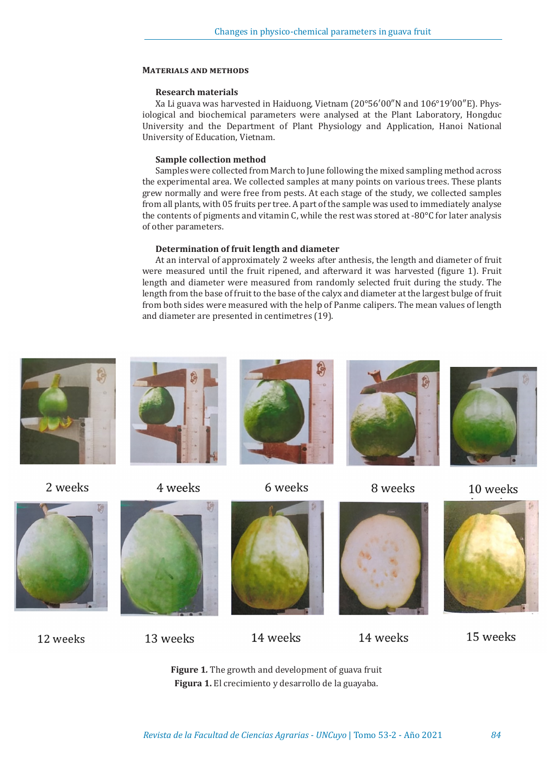## **Materials and methods**

# **Research materials**

Xa Li guava was harvested in Haiduong, Vietnam (20°56′00″N and 106°19′00″E). Physiological and biochemical parameters were analysed at the Plant Laboratory, Hongduc University and the Department of Plant Physiology and Application, Hanoi National University of Education, Vietnam.

# **Sample collection method**

Samples were collected from March to June following the mixed sampling method across the experimental area. We collected samples at many points on various trees. These plants grew normally and were free from pests. At each stage of the study, we collected samples from all plants, with 05 fruits per tree. A part of the sample was used to immediately analyse the contents of pigments and vitamin C, while the rest was stored at -80 $^{\circ}$ C for later analysis of other parameters.

# **Determination of fruit length and diameter**

At an interval of approximately 2 weeks after anthesis, the length and diameter of fruit were measured until the fruit ripened, and afterward it was harvested (figure 1). Fruit length and diameter were measured from randomly selected fruit during the study. The length from the base of fruit to the base of the calyx and diameter at the largest bulge of fruit from both sides were measured with the help of Panme calipers. The mean values of length and diameter are presented in centimetres (19).





12 weeks







14 weeks



14 weeks



15 weeks

**Figure 1***.* The growth and development of guava fruit **Figura 1.** El crecimiento y desarrollo de la guayaba.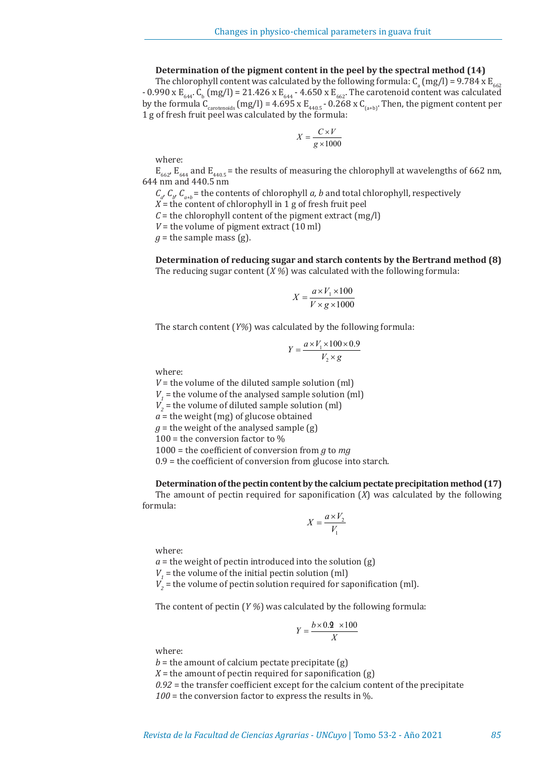### **Determination of the pigment content in the peel by the spectral method (14)**

The chlorophyll content was calculated by the following formula:  $C_a$  (mg/l) = 9.784 x E<sub>662</sub> -  $0.990$  x E<sub>644</sub>. C<sub>b</sub> (mg/l) = 21.426 x E<sub>644</sub> - 4.650 x E<sub>662</sub>. The carotenoid content was calculated by the formula C<sub>carotenoids</sub> (mg/l) = 4.695 x E<sub>440.5</sub> - 0.268 x C<sub>(a+b)</sub>. Then, the pigment content per 1 g of fresh fruit peel was calculated by the formula:

$$
X = \frac{C \times V}{g \times 1000}
$$

where:

 $E_{662}$ ,  $E_{644}$  and  $E_{440.5}$  = the results of measuring the chlorophyll at wavelengths of 662 nm, 644 nm and 440.5 nm

 $C_{a'} C_{b'} C_{a+b}$  = the contents of chlorophyll *a, b* and total chlorophyll, respectively

 $X =$  the content of chlorophyll in 1 g of fresh fruit peel

 $C =$  the chlorophyll content of the pigment extract  $(mg/l)$ 

 $V =$  the volume of pigment extract  $(10 \text{ ml})$ 

 $q$  = the sample mass (g).

**Determination of reducing sugar and starch contents by the Bertrand method (8)** The reducing sugar content (*X %*) was calculated with the following formula:

$$
X = \frac{a \times V_1 \times 100}{V \times g \times 1000}
$$

The starch content (*Y%*) was calculated by the following formula:

$$
Y = \frac{a \times V_1 \times 100 \times 0.9}{V_2 \times g}
$$

where:

 $V =$  the volume of the diluted sample solution (ml)  $V_1$  = the volume of the analysed sample solution (ml)  $V_2$  = the volume of diluted sample solution (ml)  $a =$  the weight (mg) of glucose obtained  $g =$  the weight of the analysed sample  $(g)$ 100 = the conversion factor to  $%$ 1000 = the coefficient of conversion from *g* to *mg* 0.9 = the coefficient of conversion from glucose into starch.

# **Determination of the pectin content by the calcium pectate precipitation method (17)**

The amount of pectin required for saponification (*X*) was calculated by the following formula:

$$
X = \frac{a \times V_2}{V_1}
$$

where:

 $a =$  the weight of pectin introduced into the solution  $(g)$  $V_1$  = the volume of the initial pectin solution (ml)  $V<sub>2</sub>$  = the volume of pectin solution required for saponification (ml).

The content of pectin (*Y %*) was calculated by the following formula:

$$
Y = \frac{b \times 0.2 \times 100}{X}
$$

where:

 $b =$  the amount of calcium pectate precipitate  $(g)$  $X =$  the amount of pectin required for saponification  $(g)$ *0.92* = the transfer coefficient except for the calcium content of the precipitate *100* = the conversion factor to express the results in %.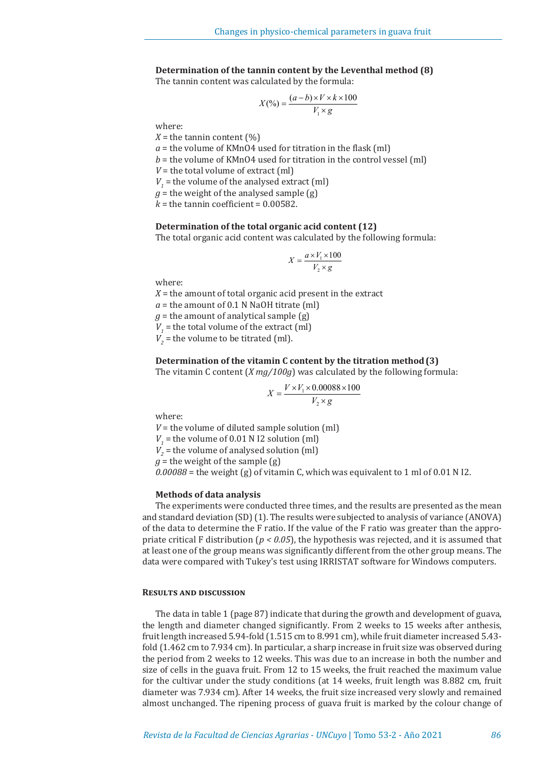# **Determination of the tannin content by the Leventhal method (8)**

The tannin content was calculated by the formula:

$$
X(\%) = \frac{(a-b) \times V \times k \times 100}{V_1 \times g}
$$

where:

 $X =$  the tannin content  $(\%)$ 

*a* = the volume of KMnO4 used for titration in the flask (ml)

*b* = the volume of KMnO4 used for titration in the control vessel (ml)

 $V =$  the total volume of extract (ml)

 $V_1$  = the volume of the analysed extract (ml)

 $g =$  the weight of the analysed sample  $(g)$ 

 $k =$  the tannin coefficient =  $0.00582$ .

### **Determination of the total organic acid content (12)**

The total organic acid content was calculated by the following formula:

$$
X = \frac{a \times V_1 \times 100}{V_2 \times g}
$$

where:

 $X =$  the amount of total organic acid present in the extract

 $a =$  the amount of 0.1 N NaOH titrate (ml)

 $q$  = the amount of analytical sample  $(q)$ 

 $V_1$  = the total volume of the extract (ml)

 $V<sub>2</sub>$  = the volume to be titrated (ml).

# **Determination of the vitamin C content by the titration method(3)**

The vitamin C content (*X mg/100g*) was calculated by the following formula:

$$
X = \frac{V \times V_1 \times 0.00088 \times 100}{V_2 \times g}
$$

where:

 $V =$  the volume of diluted sample solution (ml)  $V_1$  = the volume of 0.01 N I2 solution (ml)  $V<sub>2</sub>$  = the volume of analysed solution (ml)  $g =$  the weight of the sample  $(g)$ *0.00088* = the weight (g) of vitamin C, which was equivalent to 1 ml of 0.01 N I2.

# **Methods of data analysis**

The experiments were conducted three times, and the results are presented as the mean and standard deviation (SD) (1). The results were subjected to analysis of variance (ANOVA) of the data to determine the F ratio. If the value of the F ratio was greater than the appropriate critical F distribution (*p < 0.05*), the hypothesis was rejected, and it is assumed that at least one of the group means was significantly different from the other group means. The data were compared with Tukey's test using IRRISTAT software for Windows computers.

#### **Results and discussion**

The data in table 1 (page 87) indicate that during the growth and development of guava, the length and diameter changed significantly. From 2 weeks to 15 weeks after anthesis, fruit length increased 5.94-fold (1.515 cm to 8.991 cm), while fruit diameter increased 5.43 fold (1.462 cm to 7.934 cm). In particular, a sharp increase in fruit size was observed during the period from 2 weeks to 12 weeks. This was due to an increase in both the number and size of cells in the guava fruit. From 12 to 15 weeks, the fruit reached the maximum value for the cultivar under the study conditions (at 14 weeks, fruit length was 8.882 cm, fruit diameter was 7.934 cm). After 14 weeks, the fruit size increased very slowly and remained almost unchanged. The ripening process of guava fruit is marked by the colour change of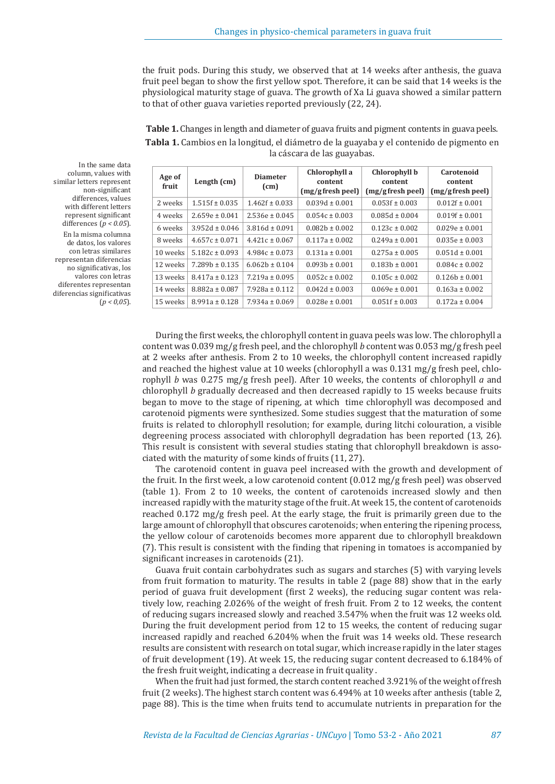the fruit pods. During this study, we observed that at 14 weeks after anthesis, the guava fruit peel began to show the first yellow spot. Therefore, it can be said that 14 weeks is the physiological maturity stage of guava. The growth of Xa Li guava showed a similar pattern to that of other guava varieties reported previously (22, 24).

**Table 1.** Changes in length and diameter of guava fruits and pigment contents in guava peels. **Tabla 1.** Cambios en la longitud, el diámetro de la guayaba y el contenido de pigmento en la cáscara de las guayabas.

| Age of<br>fruit | Length $(cm)$      | <b>Diameter</b><br>(cm) | Chlorophyll a<br>content<br>(mg/gfresh peel) | Chlorophyll b<br>content<br>(mg/gfresh peel) | Carotenoid<br>content<br>$(mg/g$ fresh peel) |
|-----------------|--------------------|-------------------------|----------------------------------------------|----------------------------------------------|----------------------------------------------|
| 2 weeks         | $1.515f \pm 0.035$ | $1.462f \pm 0.033$      | $0.039d \pm 0.001$                           | $0.053f \pm 0.003$                           | $0.012f \pm 0.001$                           |
| 4 weeks         | $2.659e \pm 0.041$ | $2.536e \pm 0.045$      | $0.054c \pm 0.003$                           | $0.085d \pm 0.004$                           | $0.019f \pm 0.001$                           |
| 6 weeks         | $3.952d \pm 0.046$ | $3.816d \pm 0.091$      | $0.082h \pm 0.002$                           | $0.123c \pm 0.002$                           | $0.029e \pm 0.001$                           |
| 8 weeks         | $4.657c \pm 0.071$ | $4.421c \pm 0.067$      | $0.117a \pm 0.002$                           | $0.249a \pm 0.001$                           | $0.035e \pm 0.003$                           |
| 10 weeks        | $5.182c \pm 0.093$ | $4.984c \pm 0.073$      | $0.131a \pm 0.001$                           | $0.275a \pm 0.005$                           | $0.051d \pm 0.001$                           |
| 12 weeks        | $7.289h \pm 0.135$ | $6.062h \pm 0.104$      | $0.093h \pm 0.001$                           | $0.183h \pm 0.001$                           | $0.084c \pm 0.002$                           |
| 13 weeks        | $8.417a \pm 0.123$ | $7.219a \pm 0.095$      | $0.052c \pm 0.002$                           | $0.105c \pm 0.002$                           | $0.126h \pm 0.001$                           |
| 14 weeks        | $8.882a \pm 0.087$ | $7.928a \pm 0.112$      | $0.042d \pm 0.003$                           | $0.069e \pm 0.001$                           | $0.163a \pm 0.002$                           |
| 15 weeks        | $8.991a \pm 0.128$ | $7.934a \pm 0.069$      | $0.028e \pm 0.001$                           | $0.051f \pm 0.003$                           | $0.172a \pm 0.004$                           |

In the same data column, values with similar letters represent non-significant differences, values with different letters represent significant differences (*p < 0.05*). En la misma columna de datos, los valores con letras similares representan diferencias no significativas, los valores con letras diferentes representan diferencias significativas (*p < 0,05*).

> During the first weeks, the chlorophyll content in guava peels was low. The chlorophyll a content was 0.039 mg/g fresh peel, and the chlorophyll *b* content was 0.053 mg/g fresh peel at 2 weeks after anthesis. From 2 to 10 weeks, the chlorophyll content increased rapidly and reached the highest value at 10 weeks (chlorophyll a was 0.131 mg/g fresh peel, chlorophyll *b* was 0.275 mg/g fresh peel). After 10 weeks, the contents of chlorophyll *a* and chlorophyll *b* gradually decreased and then decreased rapidly to 15 weeks because fruits began to move to the stage of ripening, at which time chlorophyll was decomposed and carotenoid pigments were synthesized. Some studies suggest that the maturation of some fruits is related to chlorophyll resolution; for example, during litchi colouration, a visible degreening process associated with chlorophyll degradation has been reported (13, 26). This result is consistent with several studies stating that chlorophyll breakdown is associated with the maturity of some kinds of fruits (11, 27).

> The carotenoid content in guava peel increased with the growth and development of the fruit. In the first week, a low carotenoid content (0.012 mg/g fresh peel) was observed (table 1). From 2 to 10 weeks, the content of carotenoids increased slowly and then increased rapidly with the maturity stage of the fruit. At week 15, the content of carotenoids reached 0.172 mg/g fresh peel. At the early stage, the fruit is primarily green due to the large amount of chlorophyll that obscures carotenoids; when entering the ripening process, the yellow colour of carotenoids becomes more apparent due to chlorophyll breakdown (7). This result is consistent with the finding that ripening in tomatoes is accompanied by significant increases in carotenoids (21).

> Guava fruit contain carbohydrates such as sugars and starches (5) with varying levels from fruit formation to maturity. The results in table 2 (page 88) show that in the early period of guava fruit development (first 2 weeks), the reducing sugar content was relatively low, reaching 2.026% of the weight of fresh fruit. From 2 to 12 weeks, the content of reducing sugars increased slowly and reached 3.547% when the fruit was 12 weeks old. During the fruit development period from 12 to 15 weeks, the content of reducing sugar increased rapidly and reached 6.204% when the fruit was 14 weeks old. These research results are consistent with research on total sugar, which increase rapidly in the later stages of fruit development (19). At week 15, the reducing sugar content decreased to 6.184% of the fresh fruit weight, indicating a decrease in fruit quality .

> When the fruit had just formed, the starch content reached 3.921% of the weight of fresh fruit (2 weeks). The highest starch content was 6.494% at 10 weeks after anthesis (table 2, page 88). This is the time when fruits tend to accumulate nutrients in preparation for the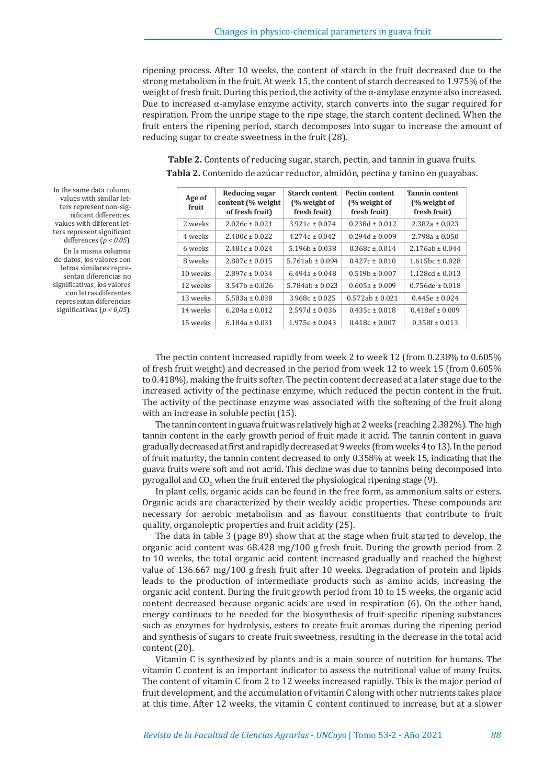ripening process. After 10 weeks, the content of starch in the fruit decreased due to the strong metabolism in the fruit. At week 15, the content of starch decreased to 1.975% of the weight of fresh fruit. During this period, the activity of the  $\alpha$ -amylase enzyme also increased. Due to increased α-amylase enzyme activity, starch converts into the sugar required for respiration. From the unripe stage to the ripe stage, the starch content declined. When the fruit enters the ripening period, starch decomposes into sugar to increase the amount of reducing sugar to create sweetness in the fruit (28).

**Age of fruit Reducing sugar content (% weight of fresh fruit) Starch content (% weight of fresh fruit) Pectin content (% weight of fresh fruit) Tannin content (% weight of fresh fruit)** 2 weeks 2.026c ± 0.021 3.921c ± 0.074 0.238d ± 0.012 2.382a ± 0.023 4 weeks 2.400c ± 0.022  $4.274c \pm 0.042$  0.294d ± 0.009 2.798a ± 0.050 6 weeks 2.481c ± 0.024  $5.196b \pm 0.038$  0.368c ± 0.014 2.176ab ± 0.044 8 weeks  $\begin{array}{|c|c|c|c|c|c|c|c|c|}\n\hline\n8 & 2.807c & 0.015 & 5.761ab & 0.094 & 0.427c & 0.010 & 1.615bc & 0.028 \\
\hline\n\end{array}$ 10 weeks  $\begin{array}{|c|c|c|c|c|c|c|c|}\n\hline\n2.897c & 0.034 & 6.494a & 0.048 & 0.519b & 0.007 & 1.128cd & 0.013\n\end{array}$ 12 weeks  $3.547b \pm 0.026$   $5.784ab \pm 0.023$   $0.605a \pm 0.009$   $0.756de \pm 0.018$ 13 weeks  $5.583a \pm 0.038$   $3.968c \pm 0.025$   $0.572ab \pm 0.021$   $0.445e \pm 0.024$ 14 weeks 6.204a ± 0.012 2.597d ± 0.036 0.435c ± 0.018 0.418ef ± 0.009 15 weeks 6.184a ± 0.031  $1.975e \pm 0.043$  0.418c  $\pm$  0.007 0.358f  $\pm$  0.013

**Table 2.** Contents of reducing sugar, starch, pectin, and tannin in guava fruits. **Tabla 2.** Contenido de azúcar reductor, almidón, pectina y tanino en guayabas.

In the same data column, values with similar letters represent non-significant differences, values with different letters represent significant differences (*p < 0.05*).

En la misma columna de datos, los valores con letras similares representan diferencias no significativas, los valores con letras diferentes representan diferencias significativas (*p < 0,05*).

> The pectin content increased rapidly from week 2 to week 12 (from 0.238% to 0.605% of fresh fruit weight) and decreased in the period from week 12 to week 15 (from 0.605% to 0.418%), making the fruits softer. The pectin content decreased at a later stage due to the increased activity of the pectinase enzyme, which reduced the pectin content in the fruit. The activity of the pectinase enzyme was associated with the softening of the fruit along with an increase in soluble pectin (15).

> The tannin content in guava fruit was relatively high at 2 weeks (reaching 2.382%). The high tannin content in the early growth period of fruit made it acrid. The tannin content in guava gradually decreased at first and rapidly decreased at 9 weeks (from weeks 4 to 13). In the period of fruit maturity, the tannin content decreased to only 0.358% at week 15, indicating that the guava fruits were soft and not acrid. This decline was due to tannins being decomposed into pyrogallol and  $CO_2$  when the fruit entered the physiological ripening stage (9).

> In plant cells, organic acids can be found in the free form, as ammonium salts or esters. Organic acids are characterized by their weakly acidic properties. These compounds are necessary for aerobic metabolism and as flavour constituents that contribute to fruit quality, organoleptic properties and fruit acidity (25).

> The data in table 3 (page 89) show that at the stage when fruit started to develop, the organic acid content was 68.428 mg/100 g fresh fruit. During the growth period from 2 to 10 weeks, the total organic acid content increased gradually and reached the highest value of 136.667 mg/100 g fresh fruit after 10 weeks. Degradation of protein and lipids leads to the production of intermediate products such as amino acids, increasing the organic acid content. During the fruit growth period from 10 to 15 weeks, the organic acid content decreased because organic acids are used in respiration (6). On the other hand, energy continues to be needed for the biosynthesis of fruit-specific ripening substances such as enzymes for hydrolysis, esters to create fruit aromas during the ripening period and synthesis of sugars to create fruit sweetness, resulting in the decrease in the total acid content (20).

> Vitamin C is synthesized by plants and is a main source of nutrition for humans. The vitamin C content is an important indicator to assess the nutritional value of many fruits. The content of vitamin C from 2 to 12 weeks increased rapidly. This is the major period of fruit development, and the accumulation of vitamin C along with other nutrients takes place at this time. After 12 weeks, the vitamin C content continued to increase, but at a slower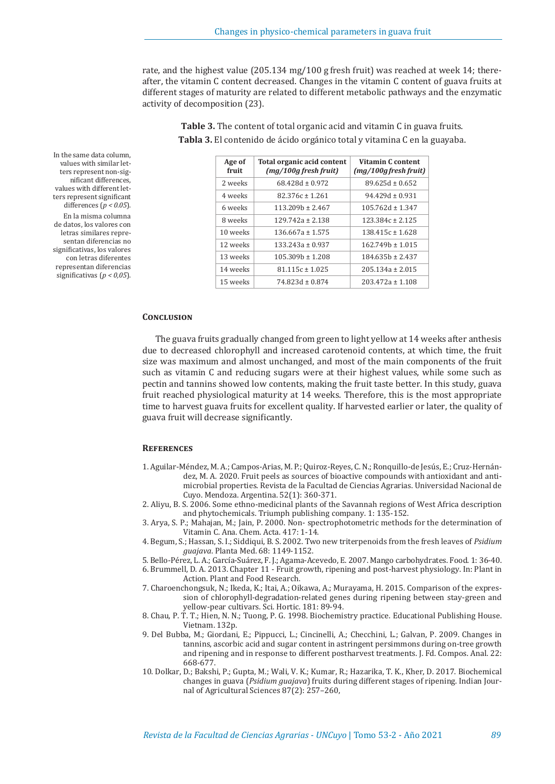rate, and the highest value (205.134 mg/100 g fresh fruit) was reached at week 14; thereafter, the vitamin C content decreased. Changes in the vitamin C content of guava fruits at different stages of maturity are related to different metabolic pathways and the enzymatic activity of decomposition (23).

| Age of<br>fruit | <b>Total organic acid content</b><br>$(mg/100g$ fresh fruit) | Vitamin C content<br>$(mg/100g$ fresh fruit) |  |
|-----------------|--------------------------------------------------------------|----------------------------------------------|--|
| 2 weeks         | $68.428d \pm 0.972$                                          | $89.625d \pm 0.652$                          |  |
| 4 weeks         | $82.376c \pm 1.261$                                          | $94.429d \pm 0.931$                          |  |
| 6 weeks         | $113.209h \pm 2.467$                                         | $105.762d \pm 1.347$                         |  |
| 8 weeks         | $129.742a \pm 2.138$                                         | $123.384c \pm 2.125$                         |  |
| 10 weeks        | $136.667a \pm 1.575$                                         | $138.415c \pm 1.628$                         |  |
| 12 weeks        | $133.243a \pm 0.937$                                         | $162.749h \pm 1.015$                         |  |
| 13 weeks        | $105.309h \pm 1.208$                                         | $184.635h \pm 2.437$                         |  |
| 14 weeks        | $81.115c \pm 1.025$                                          | $205.134a \pm 2.015$                         |  |
| 15 weeks        | $74.823d \pm 0.874$                                          | $203.472a \pm 1.108$                         |  |

**Table 3.** The content of total organic acid and vitamin C in guava fruits. **Tabla 3.** El contenido de ácido orgánico total y vitamina C en la guayaba.

#### **Conclusion**

The guava fruits gradually changed from green to light yellow at 14 weeks after anthesis due to decreased chlorophyll and increased carotenoid contents, at which time, the fruit size was maximum and almost unchanged, and most of the main components of the fruit such as vitamin C and reducing sugars were at their highest values, while some such as pectin and tannins showed low contents, making the fruit taste better. In this study, guava fruit reached physiological maturity at 14 weeks. Therefore, this is the most appropriate time to harvest guava fruits for excellent quality. If harvested earlier or later, the quality of guava fruit will decrease significantly.

#### **References**

- 1. Aguilar-Méndez, M. A.; Campos-Arias, M. P.; Quiroz-Reyes, C. N.; Ronquillo-de Jesús, E.; Cruz-Hernández, M. A. 2020. Fruit peels as sources of bioactive compounds with antioxidant and antimicrobial properties. Revista de la Facultad de Ciencias Agrarias. Universidad Nacional de Cuyo. Mendoza. Argentina. 52(1): 360-371.
- 2. Aliyu, B. S. 2006. Some ethno-medicinal plants of the Savannah regions of West Africa description and phytochemicals. Triumph publishing company. 1: 135-152.
- 3. Arya, S. P.; Mahajan, M.; Jain, P. 2000. Non- spectrophotometric methods for the determination of Vitamin C. Ana. Chem. Acta. 417: 1-14.
- 4. Begum, S.; Hassan, S. I.; Siddiqui, B. S. 2002. Two new triterpenoids from the fresh leaves of *Psidium guajava*. Planta Med. 68: 1149-1152.
- 5. Bello-Pérez, L. A.; García-Suárez, F. J.; Agama-Acevedo, E. 2007. Mango carbohydrates. Food. 1: 36-40.
- 6. Brummell, D. A. 2013. Chapter 11 Fruit growth, ripening and post-harvest physiology. In: Plant in Action. Plant and Food Research.
- 7. Charoenchongsuk, N.; Ikeda, K.; Itai, A.; Oikawa, A.; Murayama, H. 2015. Comparison of the expression of chlorophyll-degradation-related genes during ripening between stay-green and yellow-pear cultivars. Sci. Hortic. 181: 89-94.
- 8. Chau, P. T. T.; Hien, N. N.; Tuong, P. G. 1998. Biochemistry practice. Educational Publishing House. Vietnam. 132p.
- 9. Del Bubba, M.; Giordani, E.; Pippucci, L.; Cincinelli, A.; Checchini, L.; Galvan, P. 2009. Changes in tannins, ascorbic acid and sugar content in astringent persimmons during on-tree growth and ripening and in response to different postharvest treatments. J. Fd. Compos. Anal. 22: 668-677.
- 10. Dolkar, D.; Bakshi, P.; Gupta, M.; Wali, V. K.; Kumar, R.; Hazarika, T. K., Kher, D. 2017. Biochemical changes in guava (*Psidium guajava*) fruits during different stages of ripening. Indian Journal of Agricultural Sciences 87(2): 257–260,

In the same data column, values with similar letters represent non-significant differences, values with different letters represent significant differences (*p < 0.05*). En la misma columna de datos, los valores con letras similares representan diferencias no significativas, los valores con letras diferentes representan diferencias significativas (*p < 0,05*).